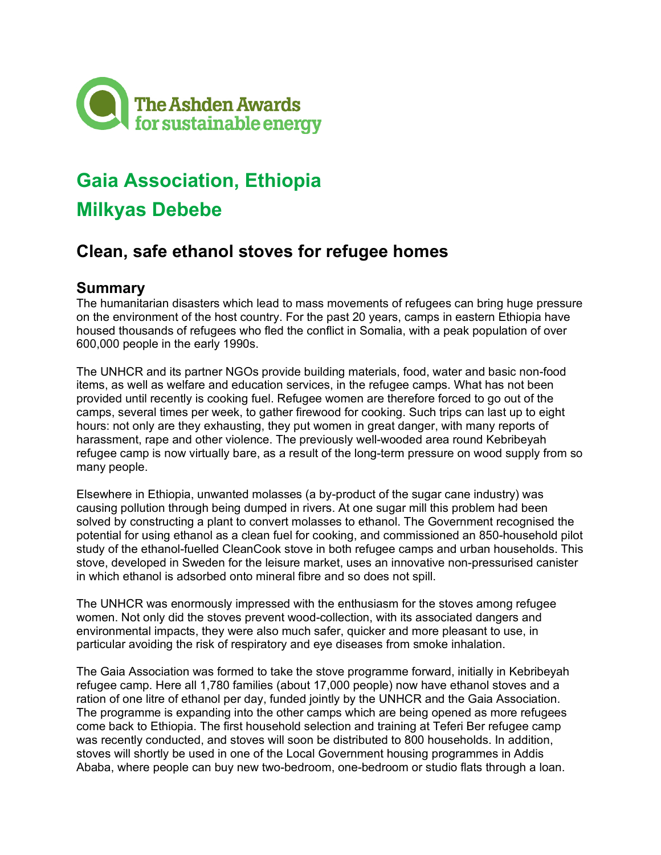

# **Gaia Association, Ethiopia**

# **Milkyas Debebe**

# **Clean, safe ethanol stoves for refugee homes**

# **Summary**

The humanitarian disasters which lead to mass movements of refugees can bring huge pressure on the environment of the host country. For the past 20 years, camps in eastern Ethiopia have housed thousands of refugees who fled the conflict in Somalia, with a peak population of over 600,000 people in the early 1990s.

The UNHCR and its partner NGOs provide building materials, food, water and basic non-food items, as well as welfare and education services, in the refugee camps. What has not been provided until recently is cooking fuel. Refugee women are therefore forced to go out of the camps, several times per week, to gather firewood for cooking. Such trips can last up to eight hours: not only are they exhausting, they put women in great danger, with many reports of harassment, rape and other violence. The previously well-wooded area round Kebribeyah refugee camp is now virtually bare, as a result of the long-term pressure on wood supply from so many people.

Elsewhere in Ethiopia, unwanted molasses (a by-product of the sugar cane industry) was causing pollution through being dumped in rivers. At one sugar mill this problem had been solved by constructing a plant to convert molasses to ethanol. The Government recognised the potential for using ethanol as a clean fuel for cooking, and commissioned an 850-household pilot study of the ethanol-fuelled CleanCook stove in both refugee camps and urban households. This stove, developed in Sweden for the leisure market, uses an innovative non-pressurised canister in which ethanol is adsorbed onto mineral fibre and so does not spill.

The UNHCR was enormously impressed with the enthusiasm for the stoves among refugee women. Not only did the stoves prevent wood-collection, with its associated dangers and environmental impacts, they were also much safer, quicker and more pleasant to use, in particular avoiding the risk of respiratory and eye diseases from smoke inhalation.

The Gaia Association was formed to take the stove programme forward, initially in Kebribeyah refugee camp. Here all 1,780 families (about 17,000 people) now have ethanol stoves and a ration of one litre of ethanol per day, funded jointly by the UNHCR and the Gaia Association. The programme is expanding into the other camps which are being opened as more refugees come back to Ethiopia. The first household selection and training at Teferi Ber refugee camp was recently conducted, and stoves will soon be distributed to 800 households. In addition, stoves will shortly be used in one of the Local Government housing programmes in Addis Ababa, where people can buy new two-bedroom, one-bedroom or studio flats through a loan.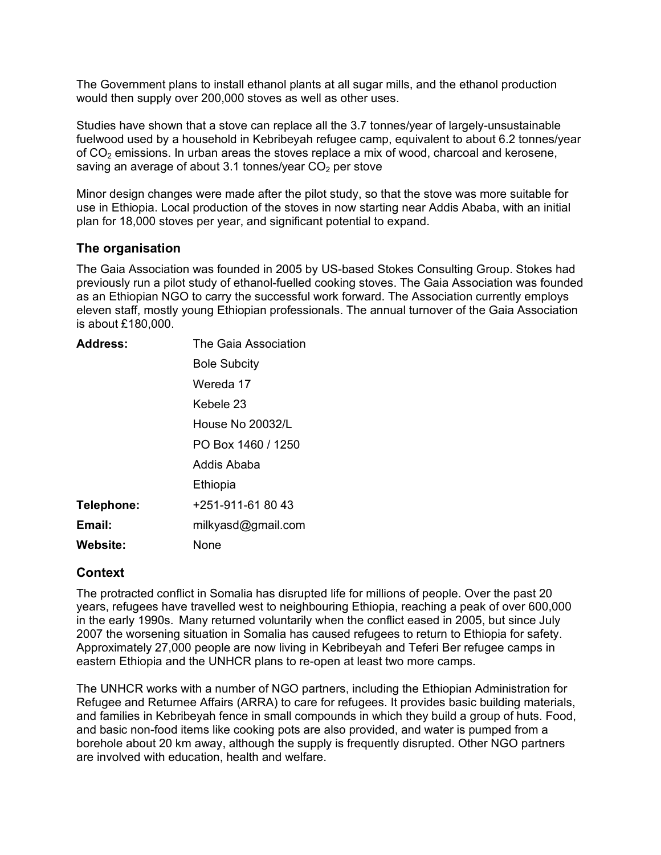The Government plans to install ethanol plants at all sugar mills, and the ethanol production would then supply over 200,000 stoves as well as other uses.

Studies have shown that a stove can replace all the 3.7 tonnes/year of largely-unsustainable fuelwood used by a household in Kebribeyah refugee camp, equivalent to about 6.2 tonnes/year of  $CO<sub>2</sub>$  emissions. In urban areas the stoves replace a mix of wood, charcoal and kerosene, saving an average of about 3.1 tonnes/year  $CO<sub>2</sub>$  per stove

Minor design changes were made after the pilot study, so that the stove was more suitable for use in Ethiopia. Local production of the stoves in now starting near Addis Ababa, with an initial plan for 18,000 stoves per year, and significant potential to expand.

# **The organisation**

The Gaia Association was founded in 2005 by US-based Stokes Consulting Group. Stokes had previously run a pilot study of ethanol-fuelled cooking stoves. The Gaia Association was founded as an Ethiopian NGO to carry the successful work forward. The Association currently employs eleven staff, mostly young Ethiopian professionals. The annual turnover of the Gaia Association is about £180,000.

| <b>Address:</b> | The Gaia Association |
|-----------------|----------------------|
|                 | <b>Bole Subcity</b>  |
|                 | Wereda 17            |
|                 | Kebele 23            |
|                 | House No 20032/L     |
|                 | PO Box 1460 / 1250   |
|                 | Addis Ababa          |
|                 | Ethiopia             |
| Telephone:      | +251-911-61 80 43    |
| Email:          | milkyasd@gmail.com   |
| Website:        | None                 |

### **Context**

The protracted conflict in Somalia has disrupted life for millions of people. Over the past 20 years, refugees have travelled west to neighbouring Ethiopia, reaching a peak of over 600,000 in the early 1990s. Many returned voluntarily when the conflict eased in 2005, but since July 2007 the worsening situation in Somalia has caused refugees to return to Ethiopia for safety. Approximately 27,000 people are now living in Kebribeyah and Teferi Ber refugee camps in eastern Ethiopia and the UNHCR plans to re-open at least two more camps.

The UNHCR works with a number of NGO partners, including the Ethiopian Administration for Refugee and Returnee Affairs (ARRA) to care for refugees. It provides basic building materials, and families in Kebribeyah fence in small compounds in which they build a group of huts. Food, and basic non-food items like cooking pots are also provided, and water is pumped from a borehole about 20 km away, although the supply is frequently disrupted. Other NGO partners are involved with education, health and welfare.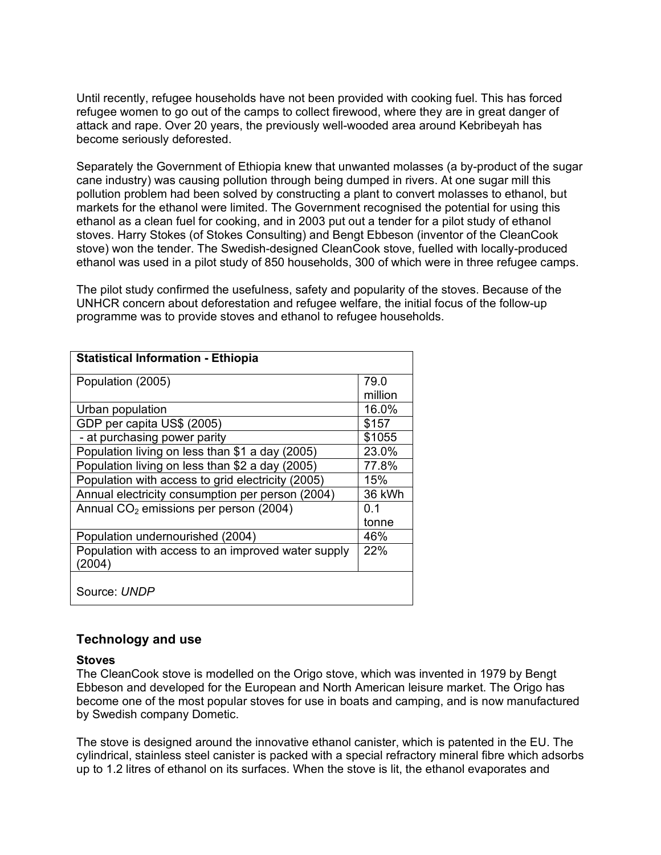Until recently, refugee households have not been provided with cooking fuel. This has forced refugee women to go out of the camps to collect firewood, where they are in great danger of attack and rape. Over 20 years, the previously well-wooded area around Kebribeyah has become seriously deforested.

Separately the Government of Ethiopia knew that unwanted molasses (a by-product of the sugar cane industry) was causing pollution through being dumped in rivers. At one sugar mill this pollution problem had been solved by constructing a plant to convert molasses to ethanol, but markets for the ethanol were limited. The Government recognised the potential for using this ethanol as a clean fuel for cooking, and in 2003 put out a tender for a pilot study of ethanol stoves. Harry Stokes (of Stokes Consulting) and Bengt Ebbeson (inventor of the CleanCook stove) won the tender. The Swedish-designed CleanCook stove, fuelled with locally-produced ethanol was used in a pilot study of 850 households, 300 of which were in three refugee camps.

The pilot study confirmed the usefulness, safety and popularity of the stoves. Because of the UNHCR concern about deforestation and refugee welfare, the initial focus of the follow-up programme was to provide stoves and ethanol to refugee households.

| 79.0<br>Population (2005)<br>million<br>16.0%<br>Urban population<br>GDP per capita US\$ (2005)<br>\$157<br>- at purchasing power parity<br>\$1055<br>Population living on less than \$1 a day (2005)<br>23.0%<br>Population living on less than \$2 a day (2005)<br>77.8%<br>Population with access to grid electricity (2005)<br>15%<br>Annual electricity consumption per person (2004)<br>36 kWh<br>Annual $CO2$ emissions per person (2004)<br>ი 1<br>tonne | <b>Statistical Information - Ethiopia</b> |     |  |
|------------------------------------------------------------------------------------------------------------------------------------------------------------------------------------------------------------------------------------------------------------------------------------------------------------------------------------------------------------------------------------------------------------------------------------------------------------------|-------------------------------------------|-----|--|
|                                                                                                                                                                                                                                                                                                                                                                                                                                                                  |                                           |     |  |
|                                                                                                                                                                                                                                                                                                                                                                                                                                                                  |                                           |     |  |
|                                                                                                                                                                                                                                                                                                                                                                                                                                                                  |                                           |     |  |
|                                                                                                                                                                                                                                                                                                                                                                                                                                                                  |                                           |     |  |
|                                                                                                                                                                                                                                                                                                                                                                                                                                                                  |                                           |     |  |
|                                                                                                                                                                                                                                                                                                                                                                                                                                                                  |                                           |     |  |
|                                                                                                                                                                                                                                                                                                                                                                                                                                                                  |                                           |     |  |
|                                                                                                                                                                                                                                                                                                                                                                                                                                                                  |                                           |     |  |
|                                                                                                                                                                                                                                                                                                                                                                                                                                                                  |                                           |     |  |
|                                                                                                                                                                                                                                                                                                                                                                                                                                                                  |                                           |     |  |
|                                                                                                                                                                                                                                                                                                                                                                                                                                                                  |                                           |     |  |
|                                                                                                                                                                                                                                                                                                                                                                                                                                                                  |                                           |     |  |
|                                                                                                                                                                                                                                                                                                                                                                                                                                                                  | Population undernourished (2004)          | 46% |  |
| Population with access to an improved water supply<br>22%                                                                                                                                                                                                                                                                                                                                                                                                        |                                           |     |  |
| (2004)                                                                                                                                                                                                                                                                                                                                                                                                                                                           |                                           |     |  |
|                                                                                                                                                                                                                                                                                                                                                                                                                                                                  |                                           |     |  |
| Source: UNDP                                                                                                                                                                                                                                                                                                                                                                                                                                                     |                                           |     |  |

### **Technology and use**

#### **Stoves**

The CleanCook stove is modelled on the Origo stove, which was invented in 1979 by Bengt Ebbeson and developed for the European and North American leisure market. The Origo has become one of the most popular stoves for use in boats and camping, and is now manufactured by Swedish company Dometic.

The stove is designed around the innovative ethanol canister, which is patented in the EU. The cylindrical, stainless steel canister is packed with a special refractory mineral fibre which adsorbs up to 1.2 litres of ethanol on its surfaces. When the stove is lit, the ethanol evaporates and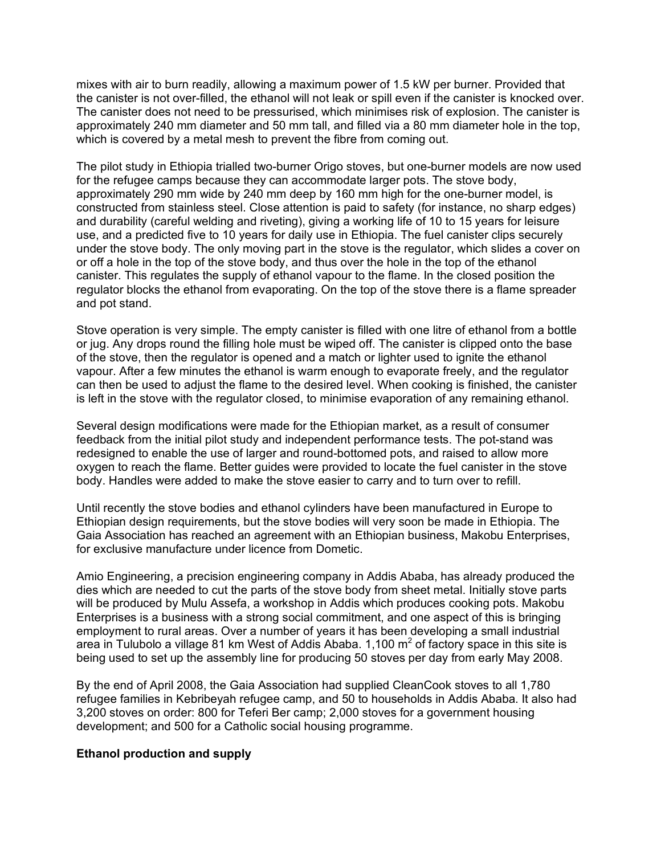mixes with air to burn readily, allowing a maximum power of 1.5 kW per burner. Provided that the canister is not over-filled, the ethanol will not leak or spill even if the canister is knocked over. The canister does not need to be pressurised, which minimises risk of explosion. The canister is approximately 240 mm diameter and 50 mm tall, and filled via a 80 mm diameter hole in the top, which is covered by a metal mesh to prevent the fibre from coming out.

The pilot study in Ethiopia trialled two-burner Origo stoves, but one-burner models are now used for the refugee camps because they can accommodate larger pots. The stove body, approximately 290 mm wide by 240 mm deep by 160 mm high for the one-burner model, is constructed from stainless steel. Close attention is paid to safety (for instance, no sharp edges) and durability (careful welding and riveting), giving a working life of 10 to 15 years for leisure use, and a predicted five to 10 years for daily use in Ethiopia. The fuel canister clips securely under the stove body. The only moving part in the stove is the regulator, which slides a cover on or off a hole in the top of the stove body, and thus over the hole in the top of the ethanol canister. This regulates the supply of ethanol vapour to the flame. In the closed position the regulator blocks the ethanol from evaporating. On the top of the stove there is a flame spreader and pot stand.

Stove operation is very simple. The empty canister is filled with one litre of ethanol from a bottle or jug. Any drops round the filling hole must be wiped off. The canister is clipped onto the base of the stove, then the regulator is opened and a match or lighter used to ignite the ethanol vapour. After a few minutes the ethanol is warm enough to evaporate freely, and the regulator can then be used to adjust the flame to the desired level. When cooking is finished, the canister is left in the stove with the regulator closed, to minimise evaporation of any remaining ethanol.

Several design modifications were made for the Ethiopian market, as a result of consumer feedback from the initial pilot study and independent performance tests. The pot-stand was redesigned to enable the use of larger and round-bottomed pots, and raised to allow more oxygen to reach the flame. Better guides were provided to locate the fuel canister in the stove body. Handles were added to make the stove easier to carry and to turn over to refill.

Until recently the stove bodies and ethanol cylinders have been manufactured in Europe to Ethiopian design requirements, but the stove bodies will very soon be made in Ethiopia. The Gaia Association has reached an agreement with an Ethiopian business, Makobu Enterprises, for exclusive manufacture under licence from Dometic.

Amio Engineering, a precision engineering company in Addis Ababa, has already produced the dies which are needed to cut the parts of the stove body from sheet metal. Initially stove parts will be produced by Mulu Assefa, a workshop in Addis which produces cooking pots. Makobu Enterprises is a business with a strong social commitment, and one aspect of this is bringing employment to rural areas. Over a number of years it has been developing a small industrial area in Tulubolo a village 81 km West of Addis Ababa. 1,100  $m^2$  of factory space in this site is being used to set up the assembly line for producing 50 stoves per day from early May 2008.

By the end of April 2008, the Gaia Association had supplied CleanCook stoves to all 1,780 refugee families in Kebribeyah refugee camp, and 50 to households in Addis Ababa. It also had 3,200 stoves on order: 800 for Teferi Ber camp; 2,000 stoves for a government housing development; and 500 for a Catholic social housing programme.

#### **Ethanol production and supply**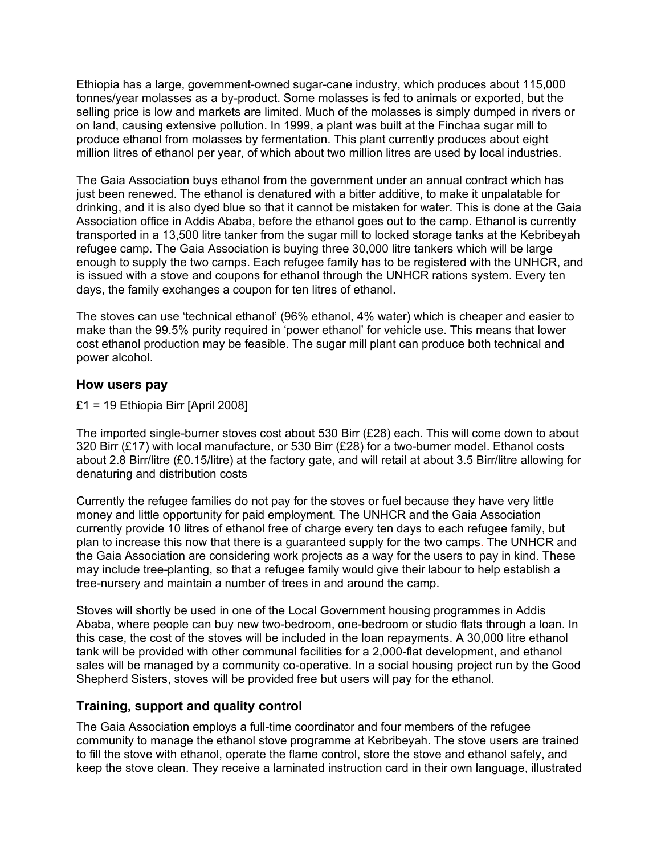Ethiopia has a large, government-owned sugar-cane industry, which produces about 115,000 tonnes/year molasses as a by-product. Some molasses is fed to animals or exported, but the selling price is low and markets are limited. Much of the molasses is simply dumped in rivers or on land, causing extensive pollution. In 1999, a plant was built at the Finchaa sugar mill to produce ethanol from molasses by fermentation. This plant currently produces about eight million litres of ethanol per year, of which about two million litres are used by local industries.

The Gaia Association buys ethanol from the government under an annual contract which has just been renewed. The ethanol is denatured with a bitter additive, to make it unpalatable for drinking, and it is also dyed blue so that it cannot be mistaken for water. This is done at the Gaia Association office in Addis Ababa, before the ethanol goes out to the camp. Ethanol is currently transported in a 13,500 litre tanker from the sugar mill to locked storage tanks at the Kebribeyah refugee camp. The Gaia Association is buying three 30,000 litre tankers which will be large enough to supply the two camps. Each refugee family has to be registered with the UNHCR, and is issued with a stove and coupons for ethanol through the UNHCR rations system. Every ten days, the family exchanges a coupon for ten litres of ethanol.

The stoves can use 'technical ethanol' (96% ethanol, 4% water) which is cheaper and easier to make than the 99.5% purity required in 'power ethanol' for vehicle use. This means that lower cost ethanol production may be feasible. The sugar mill plant can produce both technical and power alcohol.

# **How users pay**

£1 = 19 Ethiopia Birr [April 2008]

The imported single-burner stoves cost about 530 Birr (£28) each. This will come down to about 320 Birr (£17) with local manufacture, or 530 Birr (£28) for a two-burner model. Ethanol costs about 2.8 Birr/litre (£0.15/litre) at the factory gate, and will retail at about 3.5 Birr/litre allowing for denaturing and distribution costs

Currently the refugee families do not pay for the stoves or fuel because they have very little money and little opportunity for paid employment. The UNHCR and the Gaia Association currently provide 10 litres of ethanol free of charge every ten days to each refugee family, but plan to increase this now that there is a guaranteed supply for the two camps. The UNHCR and the Gaia Association are considering work projects as a way for the users to pay in kind. These may include tree-planting, so that a refugee family would give their labour to help establish a tree-nursery and maintain a number of trees in and around the camp.

Stoves will shortly be used in one of the Local Government housing programmes in Addis Ababa, where people can buy new two-bedroom, one-bedroom or studio flats through a loan. In this case, the cost of the stoves will be included in the loan repayments. A 30,000 litre ethanol tank will be provided with other communal facilities for a 2,000-flat development, and ethanol sales will be managed by a community co-operative. In a social housing project run by the Good Shepherd Sisters, stoves will be provided free but users will pay for the ethanol.

# **Training, support and quality control**

The Gaia Association employs a full-time coordinator and four members of the refugee community to manage the ethanol stove programme at Kebribeyah. The stove users are trained to fill the stove with ethanol, operate the flame control, store the stove and ethanol safely, and keep the stove clean. They receive a laminated instruction card in their own language, illustrated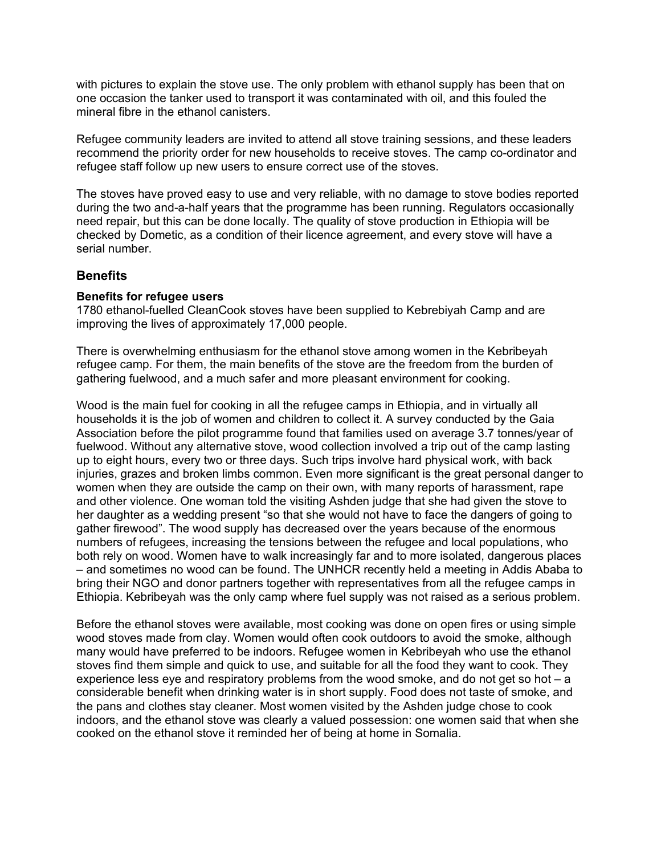with pictures to explain the stove use. The only problem with ethanol supply has been that on one occasion the tanker used to transport it was contaminated with oil, and this fouled the mineral fibre in the ethanol canisters.

Refugee community leaders are invited to attend all stove training sessions, and these leaders recommend the priority order for new households to receive stoves. The camp co-ordinator and refugee staff follow up new users to ensure correct use of the stoves.

The stoves have proved easy to use and very reliable, with no damage to stove bodies reported during the two and-a-half years that the programme has been running. Regulators occasionally need repair, but this can be done locally. The quality of stove production in Ethiopia will be checked by Dometic, as a condition of their licence agreement, and every stove will have a serial number.

### **Benefits**

#### **Benefits for refugee users**

1780 ethanol-fuelled CleanCook stoves have been supplied to Kebrebiyah Camp and are improving the lives of approximately 17,000 people.

There is overwhelming enthusiasm for the ethanol stove among women in the Kebribeyah refugee camp. For them, the main benefits of the stove are the freedom from the burden of gathering fuelwood, and a much safer and more pleasant environment for cooking.

Wood is the main fuel for cooking in all the refugee camps in Ethiopia, and in virtually all households it is the job of women and children to collect it. A survey conducted by the Gaia Association before the pilot programme found that families used on average 3.7 tonnes/year of fuelwood. Without any alternative stove, wood collection involved a trip out of the camp lasting up to eight hours, every two or three days. Such trips involve hard physical work, with back injuries, grazes and broken limbs common. Even more significant is the great personal danger to women when they are outside the camp on their own, with many reports of harassment, rape and other violence. One woman told the visiting Ashden judge that she had given the stove to her daughter as a wedding present "so that she would not have to face the dangers of going to gather firewood". The wood supply has decreased over the years because of the enormous numbers of refugees, increasing the tensions between the refugee and local populations, who both rely on wood. Women have to walk increasingly far and to more isolated, dangerous places – and sometimes no wood can be found. The UNHCR recently held a meeting in Addis Ababa to bring their NGO and donor partners together with representatives from all the refugee camps in Ethiopia. Kebribeyah was the only camp where fuel supply was not raised as a serious problem.

Before the ethanol stoves were available, most cooking was done on open fires or using simple wood stoves made from clay. Women would often cook outdoors to avoid the smoke, although many would have preferred to be indoors. Refugee women in Kebribeyah who use the ethanol stoves find them simple and quick to use, and suitable for all the food they want to cook. They experience less eye and respiratory problems from the wood smoke, and do not get so hot  $- a$ considerable benefit when drinking water is in short supply. Food does not taste of smoke, and the pans and clothes stay cleaner. Most women visited by the Ashden judge chose to cook indoors, and the ethanol stove was clearly a valued possession: one women said that when she cooked on the ethanol stove it reminded her of being at home in Somalia.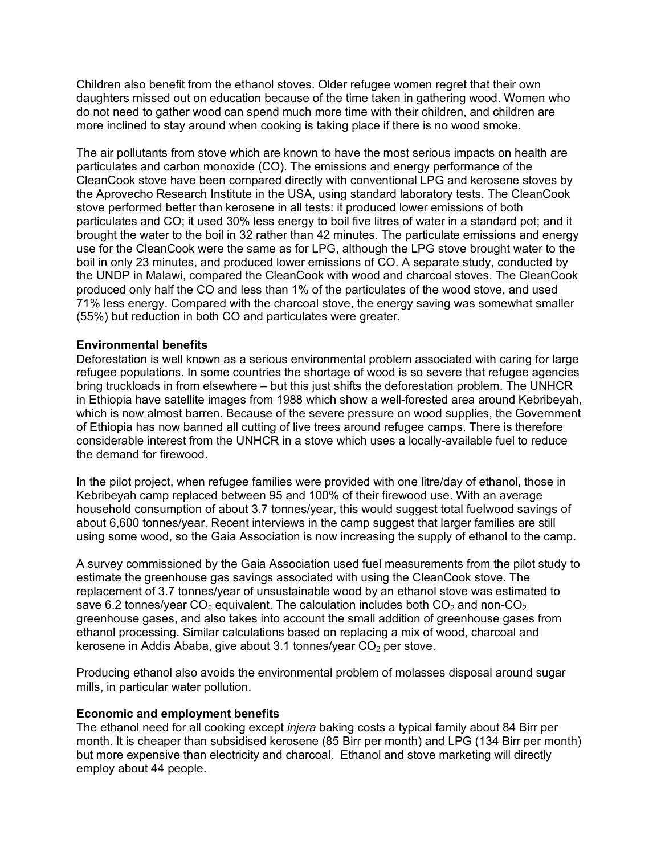Children also benefit from the ethanol stoves. Older refugee women regret that their own daughters missed out on education because of the time taken in gathering wood. Women who do not need to gather wood can spend much more time with their children, and children are more inclined to stay around when cooking is taking place if there is no wood smoke.

The air pollutants from stove which are known to have the most serious impacts on health are particulates and carbon monoxide (CO). The emissions and energy performance of the CleanCook stove have been compared directly with conventional LPG and kerosene stoves by the Aprovecho Research Institute in the USA, using standard laboratory tests. The CleanCook stove performed better than kerosene in all tests: it produced lower emissions of both particulates and CO; it used 30% less energy to boil five litres of water in a standard pot; and it brought the water to the boil in 32 rather than 42 minutes. The particulate emissions and energy use for the CleanCook were the same as for LPG, although the LPG stove brought water to the boil in only 23 minutes, and produced lower emissions of CO. A separate study, conducted by the UNDP in Malawi, compared the CleanCook with wood and charcoal stoves. The CleanCook produced only half the CO and less than 1% of the particulates of the wood stove, and used 71% less energy. Compared with the charcoal stove, the energy saving was somewhat smaller (55%) but reduction in both CO and particulates were greater.

#### **Environmental benefits**

Deforestation is well known as a serious environmental problem associated with caring for large refugee populations. In some countries the shortage of wood is so severe that refugee agencies bring truckloads in from elsewhere – but this just shifts the deforestation problem. The UNHCR in Ethiopia have satellite images from 1988 which show a well-forested area around Kebribeyah, which is now almost barren. Because of the severe pressure on wood supplies, the Government of Ethiopia has now banned all cutting of live trees around refugee camps. There is therefore considerable interest from the UNHCR in a stove which uses a locally-available fuel to reduce the demand for firewood.

In the pilot project, when refugee families were provided with one litre/day of ethanol, those in Kebribeyah camp replaced between 95 and 100% of their firewood use. With an average household consumption of about 3.7 tonnes/year, this would suggest total fuelwood savings of about 6,600 tonnes/year. Recent interviews in the camp suggest that larger families are still using some wood, so the Gaia Association is now increasing the supply of ethanol to the camp.

A survey commissioned by the Gaia Association used fuel measurements from the pilot study to estimate the greenhouse gas savings associated with using the CleanCook stove. The replacement of 3.7 tonnes/year of unsustainable wood by an ethanol stove was estimated to save 6.2 tonnes/year  $CO<sub>2</sub>$  equivalent. The calculation includes both  $CO<sub>2</sub>$  and non-CO<sub>2</sub> greenhouse gases, and also takes into account the small addition of greenhouse gases from ethanol processing. Similar calculations based on replacing a mix of wood, charcoal and kerosene in Addis Ababa, give about 3.1 tonnes/year  $CO<sub>2</sub>$  per stove.

Producing ethanol also avoids the environmental problem of molasses disposal around sugar mills, in particular water pollution.

#### **Economic and employment benefits**

The ethanol need for all cooking except *injera* baking costs a typical family about 84 Birr per month. It is cheaper than subsidised kerosene (85 Birr per month) and LPG (134 Birr per month) but more expensive than electricity and charcoal. Ethanol and stove marketing will directly employ about 44 people.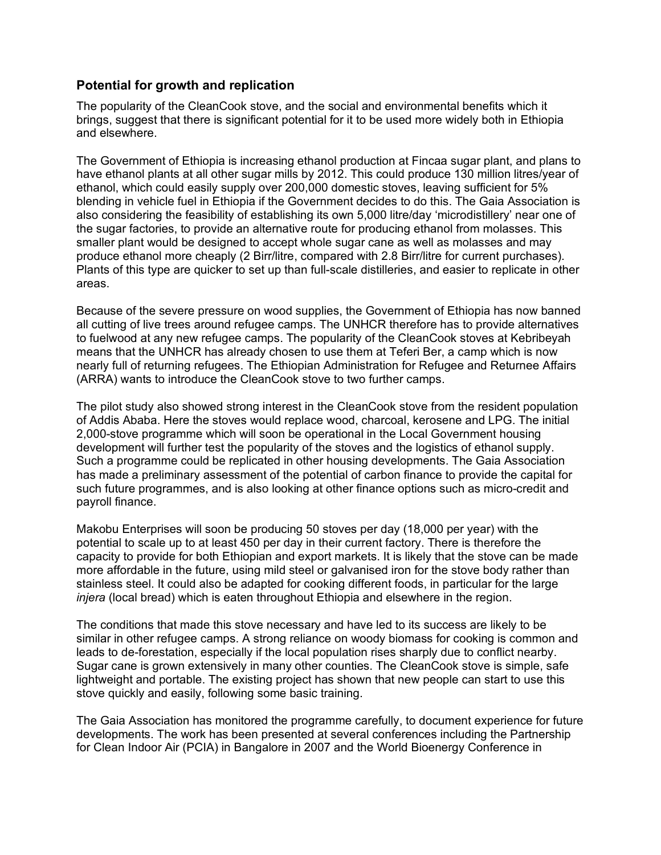# **Potential for growth and replication**

The popularity of the CleanCook stove, and the social and environmental benefits which it brings, suggest that there is significant potential for it to be used more widely both in Ethiopia and elsewhere.

The Government of Ethiopia is increasing ethanol production at Fincaa sugar plant, and plans to have ethanol plants at all other sugar mills by 2012. This could produce 130 million litres/year of ethanol, which could easily supply over 200,000 domestic stoves, leaving sufficient for 5% blending in vehicle fuel in Ethiopia if the Government decides to do this. The Gaia Association is also considering the feasibility of establishing its own 5,000 litre/day 'microdistillery' near one of the sugar factories, to provide an alternative route for producing ethanol from molasses. This smaller plant would be designed to accept whole sugar cane as well as molasses and may produce ethanol more cheaply (2 Birr/litre, compared with 2.8 Birr/litre for current purchases). Plants of this type are quicker to set up than full-scale distilleries, and easier to replicate in other areas.

Because of the severe pressure on wood supplies, the Government of Ethiopia has now banned all cutting of live trees around refugee camps. The UNHCR therefore has to provide alternatives to fuelwood at any new refugee camps. The popularity of the CleanCook stoves at Kebribeyah means that the UNHCR has already chosen to use them at Teferi Ber, a camp which is now nearly full of returning refugees. The Ethiopian Administration for Refugee and Returnee Affairs (ARRA) wants to introduce the CleanCook stove to two further camps.

The pilot study also showed strong interest in the CleanCook stove from the resident population of Addis Ababa. Here the stoves would replace wood, charcoal, kerosene and LPG. The initial 2,000-stove programme which will soon be operational in the Local Government housing development will further test the popularity of the stoves and the logistics of ethanol supply. Such a programme could be replicated in other housing developments. The Gaia Association has made a preliminary assessment of the potential of carbon finance to provide the capital for such future programmes, and is also looking at other finance options such as micro-credit and payroll finance.

Makobu Enterprises will soon be producing 50 stoves per day (18,000 per year) with the potential to scale up to at least 450 per day in their current factory. There is therefore the capacity to provide for both Ethiopian and export markets. It is likely that the stove can be made more affordable in the future, using mild steel or galvanised iron for the stove body rather than stainless steel. It could also be adapted for cooking different foods, in particular for the large *injera* (local bread) which is eaten throughout Ethiopia and elsewhere in the region.

The conditions that made this stove necessary and have led to its success are likely to be similar in other refugee camps. A strong reliance on woody biomass for cooking is common and leads to de-forestation, especially if the local population rises sharply due to conflict nearby. Sugar cane is grown extensively in many other counties. The CleanCook stove is simple, safe lightweight and portable. The existing project has shown that new people can start to use this stove quickly and easily, following some basic training.

The Gaia Association has monitored the programme carefully, to document experience for future developments. The work has been presented at several conferences including the Partnership for Clean Indoor Air (PCIA) in Bangalore in 2007 and the World Bioenergy Conference in